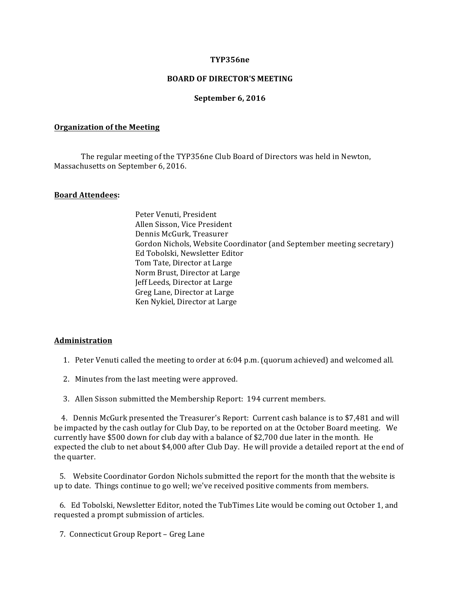## **TYP356ne**

## **BOARD OF DIRECTOR'S MEETING**

## **September 6, 2016**

#### **Organization of the Meeting**

The regular meeting of the TYP356ne Club Board of Directors was held in Newton, Massachusetts on September 6, 2016.

#### **Board Attendees:**

Peter Venuti, President Allen Sisson, Vice President Dennis McGurk, Treasurer Gordon Nichols, Website Coordinator (and September meeting secretary) Ed Tobolski, Newsletter Editor Tom Tate, Director at Large Norm Brust, Director at Large Jeff Leeds, Director at Large Greg Lane, Director at Large Ken Nykiel, Director at Large

### **Administration**

1. Peter Venuti called the meeting to order at  $6:04$  p.m. (quorum achieved) and welcomed all.

- 2. Minutes from the last meeting were approved.
- 3. Allen Sisson submitted the Membership Report: 194 current members.

4. Dennis McGurk presented the Treasurer's Report: Current cash balance is to \$7,481 and will be impacted by the cash outlay for Club Day, to be reported on at the October Board meeting. We currently have \$500 down for club day with a balance of \$2,700 due later in the month. He expected the club to net about \$4,000 after Club Day. He will provide a detailed report at the end of the quarter.

5. Website Coordinator Gordon Nichols submitted the report for the month that the website is up to date. Things continue to go well; we've received positive comments from members.

6. Ed Tobolski, Newsletter Editor, noted the TubTimes Lite would be coming out October 1, and requested a prompt submission of articles.

7. Connecticut Group Report – Greg Lane